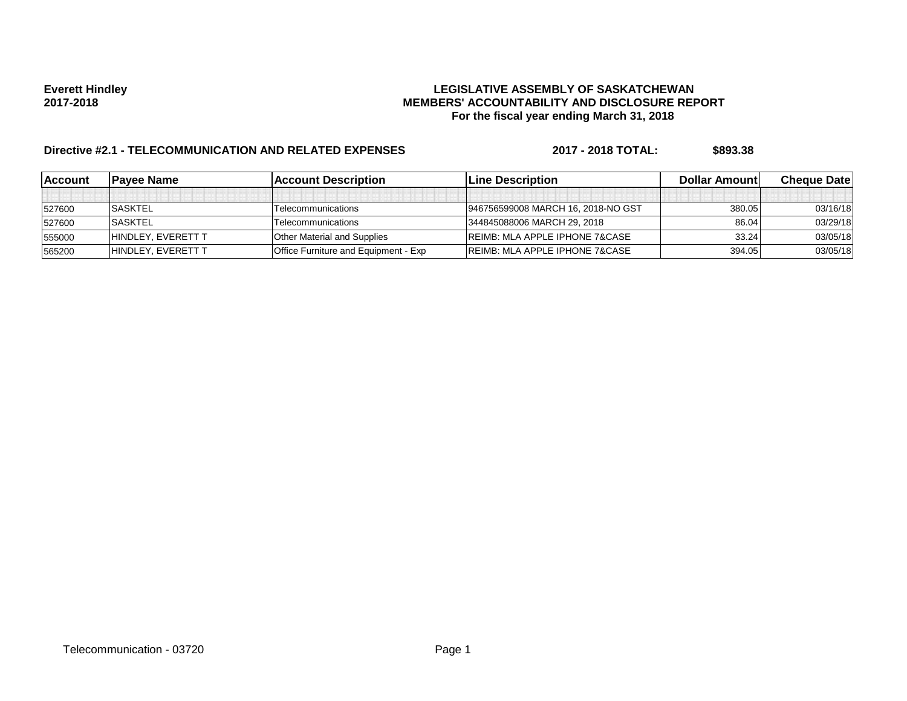# **Everett Hindley LEGISLATIVE ASSEMBLY OF SASKATCHEWAN 2017-2018 MEMBERS' ACCOUNTABILITY AND DISCLOSURE REPORT For the fiscal year ending March 31, 2018**

# **Directive #2.1 - TELECOMMUNICATION AND RELATED EXPENSES** 2017 - 2018 TOTAL: \$893.38

| <b>IAccount</b> | <b>IPavee Name</b>        | <b>Account Description</b>                  | <b>ILine Description</b>                  | <b>Dollar Amountl</b> | <b>Cheque Datel</b> |
|-----------------|---------------------------|---------------------------------------------|-------------------------------------------|-----------------------|---------------------|
|                 |                           |                                             |                                           |                       |                     |
| 527600          | <b>SASKTEL</b>            | Telecommunications                          | 946756599008 MARCH 16, 2018-NO GST        | 380.05                | 03/16/18            |
| 527600          | <b>SASKTEL</b>            | Telecommunications                          | 344845088006 MARCH 29, 2018               | 86.04                 | 03/29/18            |
| 555000          | <b>HINDLEY, EVERETT T</b> | <b>Other Material and Supplies</b>          | <b>REIMB: MLA APPLE IPHONE 7&amp;CASE</b> | 33.24                 | 03/05/18            |
| 565200          | <b>HINDLEY, EVERETT T</b> | <b>Office Furniture and Equipment - Exp</b> | <b>REIMB: MLA APPLE IPHONE 7&amp;CASE</b> | 394.05                | 03/05/18            |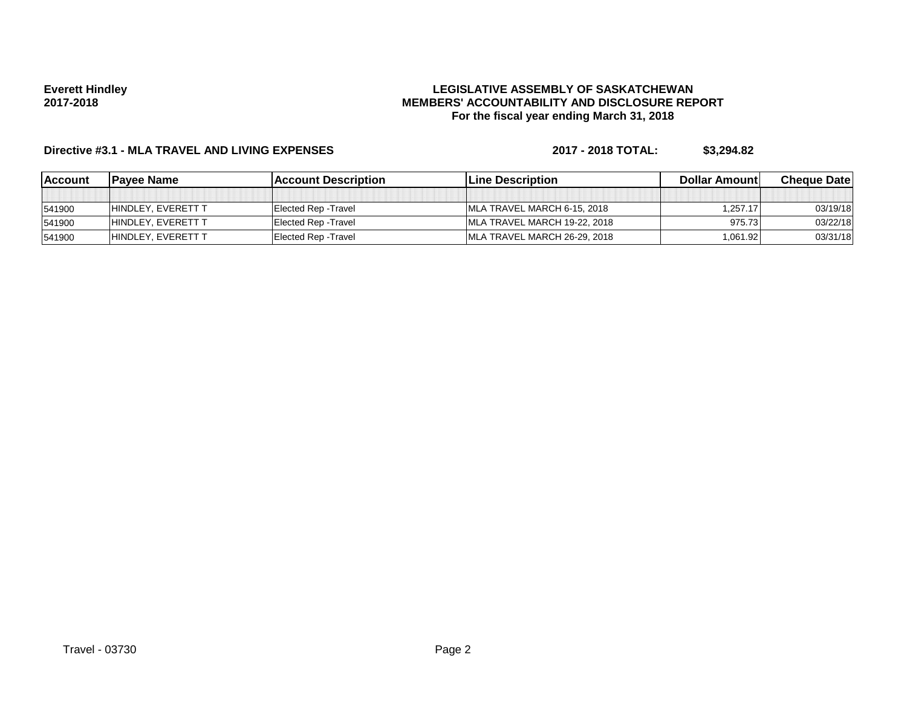### **Everett Hindley 2017-2018**

# **LEGISLATIVE ASSEMBLY OF SASKATCHEWAN MEMBERS' ACCOUNTABILITY AND DISCLOSURE REPORT For the fiscal year ending March 31, 2018**

# **Directive #3.1 - MLA TRAVEL AND LIVING EXPENSES 2017 - 2018 TOTAL: \$3,294.82**

| <u>IAccount</u> | <b>IPavee Name</b>  | <b>IAccount Description</b> | <b>ILine Description</b>     | <b>Dollar Amountl</b> | <b>Cheque Datel</b> |
|-----------------|---------------------|-----------------------------|------------------------------|-----------------------|---------------------|
|                 |                     |                             |                              |                       |                     |
| 541900          | HINDLEY. EVERETT T  | <b>Elected Rep - Travel</b> | MLA TRAVEL MARCH 6-15, 2018  | 1,257.17              | 03/19/18            |
| 541900          | IHINDLEY. EVERETT T | <b>Elected Rep - Travel</b> | MLA TRAVEL MARCH 19-22, 2018 | 975.73                | 03/22/18            |
| 541900          | HINDLEY. EVERETT T  | <b>Elected Rep - Travel</b> | MLA TRAVEL MARCH 26-29, 2018 | 1,061.92              | 03/31/18            |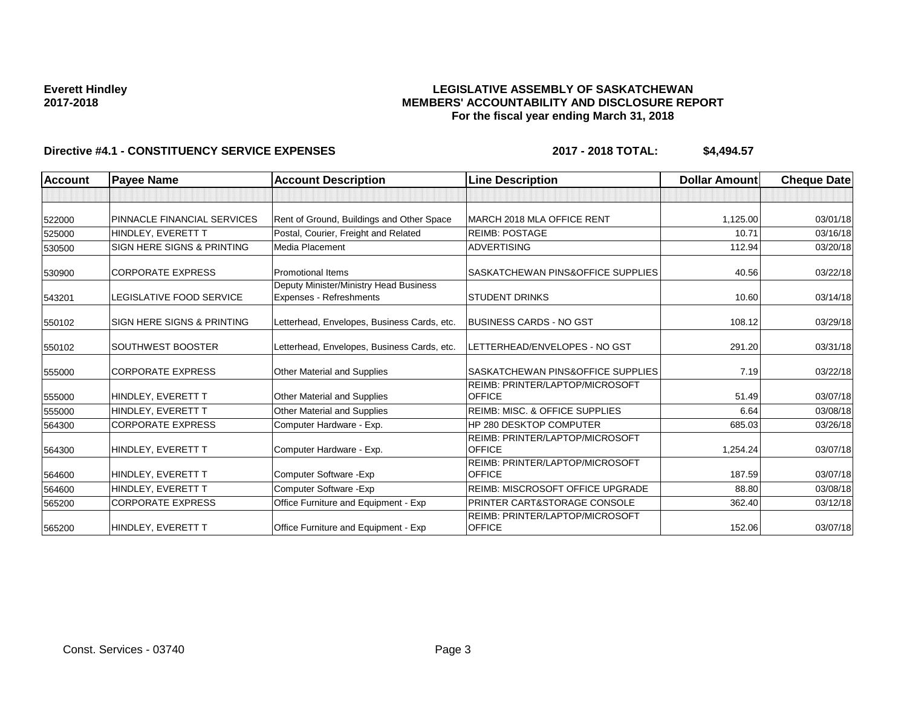### **Everett Hindley 2017-2018**

# **LEGISLATIVE ASSEMBLY OF SASKATCHEWAN MEMBERS' ACCOUNTABILITY AND DISCLOSURE REPORT For the fiscal year ending March 31, 2018**

# Directive #4.1 - CONSTITUENCY SERVICE EXPENSES 2017 - 2018 TOTAL: \$4,494.57

| <b>Account</b> | <b>Payee Name</b>                     | <b>Account Description</b>                                               | <b>Line Description</b>                          | <b>Dollar Amount</b> | <b>Cheque Date</b> |
|----------------|---------------------------------------|--------------------------------------------------------------------------|--------------------------------------------------|----------------------|--------------------|
|                |                                       |                                                                          |                                                  |                      |                    |
| 522000         | PINNACLE FINANCIAL SERVICES           | Rent of Ground, Buildings and Other Space                                | MARCH 2018 MLA OFFICE RENT                       | 1,125.00             | 03/01/18           |
| 525000         | HINDLEY, EVERETT T                    | Postal, Courier, Freight and Related                                     | <b>REIMB: POSTAGE</b>                            | 10.71                | 03/16/18           |
| 530500         | <b>SIGN HERE SIGNS &amp; PRINTING</b> | Media Placement                                                          | <b>ADVERTISING</b>                               | 112.94               | 03/20/18           |
| 530900         | <b>CORPORATE EXPRESS</b>              | <b>Promotional Items</b>                                                 | SASKATCHEWAN PINS&OFFICE SUPPLIES                | 40.56                | 03/22/18           |
| 543201         | <b>LEGISLATIVE FOOD SERVICE</b>       | Deputy Minister/Ministry Head Business<br><b>Expenses - Refreshments</b> | <b>STUDENT DRINKS</b>                            | 10.60                | 03/14/18           |
| 550102         | <b>SIGN HERE SIGNS &amp; PRINTING</b> | Letterhead, Envelopes, Business Cards, etc.                              | BUSINESS CARDS - NO GST                          | 108.12               | 03/29/18           |
| 550102         | SOUTHWEST BOOSTER                     | Letterhead, Envelopes, Business Cards, etc.                              | LETTERHEAD/ENVELOPES - NO GST                    | 291.20               | 03/31/18           |
| 555000         | <b>CORPORATE EXPRESS</b>              | <b>Other Material and Supplies</b>                                       | SASKATCHEWAN PINS&OFFICE SUPPLIES                | 7.19                 | 03/22/18           |
| 555000         | HINDLEY, EVERETT T                    | Other Material and Supplies                                              | REIMB: PRINTER/LAPTOP/MICROSOFT<br><b>OFFICE</b> | 51.49                | 03/07/18           |
| 555000         | HINDLEY, EVERETT T                    | <b>Other Material and Supplies</b>                                       | REIMB: MISC. & OFFICE SUPPLIES                   | 6.64                 | 03/08/18           |
| 564300         | <b>CORPORATE EXPRESS</b>              | Computer Hardware - Exp.                                                 | <b>HP 280 DESKTOP COMPUTER</b>                   | 685.03               | 03/26/18           |
| 564300         | HINDLEY, EVERETT T                    | Computer Hardware - Exp.                                                 | REIMB: PRINTER/LAPTOP/MICROSOFT<br><b>OFFICE</b> | 1,254.24             | 03/07/18           |
| 564600         | HINDLEY, EVERETT T                    | Computer Software - Exp                                                  | REIMB: PRINTER/LAPTOP/MICROSOFT<br><b>OFFICE</b> | 187.59               | 03/07/18           |
| 564600         | HINDLEY, EVERETT T                    | Computer Software - Exp                                                  | <b>REIMB: MISCROSOFT OFFICE UPGRADE</b>          | 88.80                | 03/08/18           |
| 565200         | <b>CORPORATE EXPRESS</b>              | Office Furniture and Equipment - Exp                                     | PRINTER CART&STORAGE CONSOLE                     | 362.40               | 03/12/18           |
| 565200         | HINDLEY, EVERETT T                    | Office Furniture and Equipment - Exp                                     | REIMB: PRINTER/LAPTOP/MICROSOFT<br><b>OFFICE</b> | 152.06               | 03/07/18           |